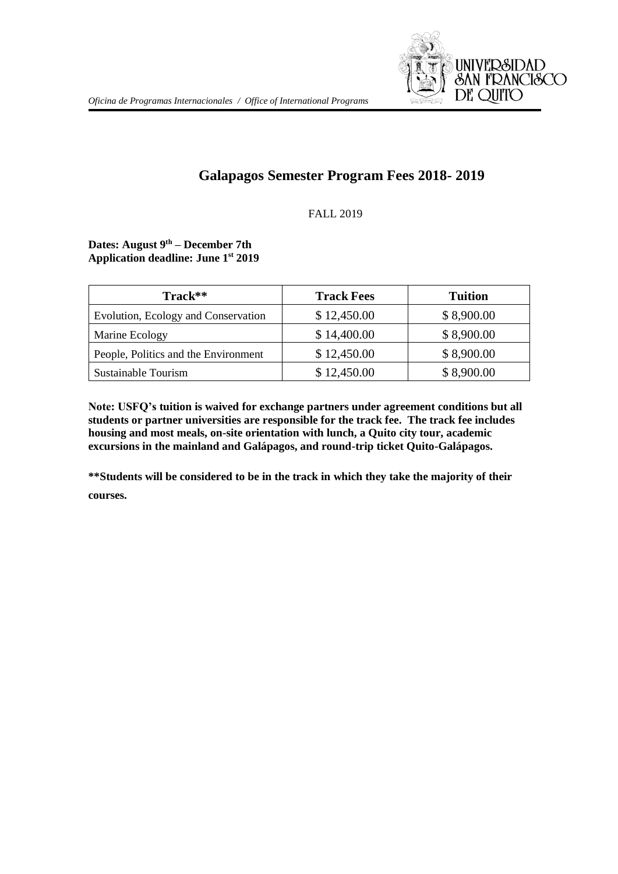

# **Galapagos Semester Program Fees 2018- 2019**

### FALL 2019

#### **Dates: August 9th – December 7th Application deadline: June 1st 2019**

| Track**                              | <b>Track Fees</b> | <b>Tuition</b> |
|--------------------------------------|-------------------|----------------|
| Evolution, Ecology and Conservation  | \$12,450.00       | \$8,900.00     |
| Marine Ecology                       | \$14,400.00       | \$8,900.00     |
| People, Politics and the Environment | \$12,450.00       | \$8,900.00     |
| Sustainable Tourism                  | \$12,450.00       | \$8,900.00     |

**Note: USFQ's tuition is waived for exchange partners under agreement conditions but all students or partner universities are responsible for the track fee. The track fee includes housing and most meals, on-site orientation with lunch, a Quito city tour, academic excursions in the mainland and Galápagos, and round-trip ticket Quito-Galápagos.**

**\*\*Students will be considered to be in the track in which they take the majority of their courses.**